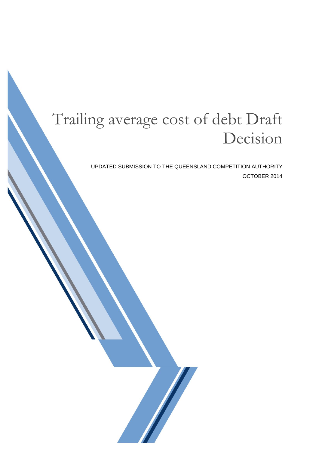# Trailing average cost of debt Draft Decision

UPDATED SUBMISSION TO THE QUEENSLAND COMPETITION AUTHORITY OCTOBER 2014

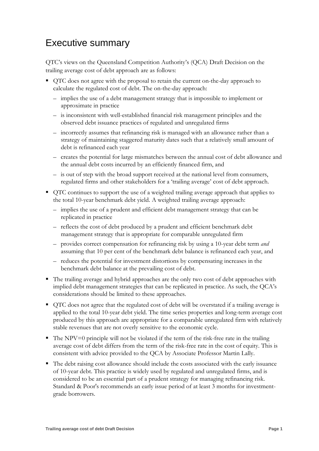### Executive summary

QTC's views on the Queensland Competition Authority's (QCA) Draft Decision on the trailing average cost of debt approach are as follows:

- QTC does not agree with the proposal to retain the current on-the-day approach to calculate the regulated cost of debt. The on-the-day approach:
	- implies the use of a debt management strategy that is impossible to implement or approximate in practice
	- is inconsistent with well-established financial risk management principles and the observed debt issuance practices of regulated and unregulated firms
	- incorrectly assumes that refinancing risk is managed with an allowance rather than a strategy of maintaining staggered maturity dates such that a relatively small amount of debt is refinanced each year
	- creates the potential for large mismatches between the annual cost of debt allowance and the annual debt costs incurred by an efficiently financed firm, and
	- is out of step with the broad support received at the national level from consumers, regulated firms and other stakeholders for a 'trailing average' cost of debt approach.
- QTC continues to support the use of a weighted trailing average approach that applies to the total 10-year benchmark debt yield. A weighted trailing average approach:
	- implies the use of a prudent and efficient debt management strategy that can be replicated in practice
	- reflects the cost of debt produced by a prudent and efficient benchmark debt management strategy that is appropriate for comparable unregulated firm
	- provides correct compensation for refinancing risk by using a 10-year debt term *and* assuming that 10 per cent of the benchmark debt balance is refinanced each year, and
	- reduces the potential for investment distortions by compensating increases in the benchmark debt balance at the prevailing cost of debt.
- The trailing average and hybrid approaches are the only two cost of debt approaches with implied debt management strategies that can be replicated in practice. As such, the QCA's considerations should be limited to these approaches.
- QTC does not agree that the regulated cost of debt will be overstated if a trailing average is applied to the total 10-year debt yield. The time series properties and long-term average cost produced by this approach are appropriate for a comparable unregulated firm with relatively stable revenues that are not overly sensitive to the economic cycle.
- $\blacksquare$  The NPV=0 principle will not be violated if the term of the risk-free rate in the trailing average cost of debt differs from the term of the risk-free rate in the cost of equity. This is consistent with advice provided to the QCA by Associate Professor Martin Lally.
- The debt raising cost allowance should include the costs associated with the early issuance of 10-year debt. This practice is widely used by regulated and unregulated firms, and is considered to be an essential part of a prudent strategy for managing refinancing risk. Standard & Poor's recommends an early issue period of at least 3 months for investmentgrade borrowers.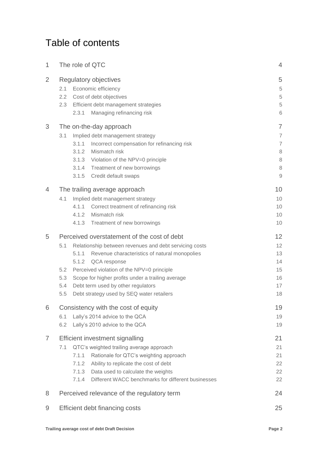## Table of contents

| 1              | The role of QTC                                   |                                                                                                                                              | 4                     |  |
|----------------|---------------------------------------------------|----------------------------------------------------------------------------------------------------------------------------------------------|-----------------------|--|
| 2              | 2.1<br>2.2<br>2.3<br>2.3.1                        | Regulatory objectives<br>Economic efficiency<br>Cost of debt objectives<br>Efficient debt management strategies<br>Managing refinancing risk | 5<br>5<br>5<br>5<br>6 |  |
| 3              |                                                   | The on-the-day approach                                                                                                                      | $\overline{7}$        |  |
|                | 3.1                                               | $\overline{7}$                                                                                                                               |                       |  |
|                | 3.1.1                                             | Implied debt management strategy<br>Incorrect compensation for refinancing risk                                                              | $\overline{7}$        |  |
|                | 3.1.2                                             | Mismatch risk                                                                                                                                | 8                     |  |
|                | 3.1.3                                             | Violation of the NPV=0 principle                                                                                                             | 8                     |  |
|                | 3.1.4                                             | Treatment of new borrowings                                                                                                                  | $\,8\,$               |  |
|                | 3.1.5                                             | Credit default swaps                                                                                                                         | $\mathcal{G}$         |  |
| $\overline{4}$ |                                                   | The trailing average approach                                                                                                                | 10                    |  |
|                | 4.1                                               | Implied debt management strategy                                                                                                             | 10                    |  |
|                | 4.1.1                                             | Correct treatment of refinancing risk                                                                                                        | 10                    |  |
|                | 4.1.2                                             | Mismatch risk                                                                                                                                | 10                    |  |
|                | 4.1.3                                             | Treatment of new borrowings                                                                                                                  | 10                    |  |
| 5              |                                                   | Perceived overstatement of the cost of debt                                                                                                  | 12                    |  |
|                | 5.1                                               | Relationship between revenues and debt servicing costs                                                                                       | 12                    |  |
|                | 5.1.1                                             | Revenue characteristics of natural monopolies                                                                                                | 13                    |  |
|                | 5.1.2                                             | QCA response                                                                                                                                 | 14                    |  |
|                | Perceived violation of the NPV=0 principle<br>5.2 | 15                                                                                                                                           |                       |  |
|                | 5.3                                               | Scope for higher profits under a trailing average                                                                                            |                       |  |
|                | 5.4<br>Debt term used by other regulators         | 17                                                                                                                                           |                       |  |
|                | 5.5                                               | Debt strategy used by SEQ water retailers                                                                                                    | 18                    |  |
| 6              |                                                   | Consistency with the cost of equity                                                                                                          | 19                    |  |
|                | Lally's 2014 advice to the QCA<br>6.1             | 19                                                                                                                                           |                       |  |
|                | 6.2                                               | Lally's 2010 advice to the QCA                                                                                                               | 19                    |  |
| 7              | <b>Efficient investment signalling</b>            |                                                                                                                                              | 21                    |  |
|                | 7.1                                               | QTC's weighted trailing average approach                                                                                                     | 21                    |  |
|                | 7.1.1                                             | Rationale for QTC's weighting approach                                                                                                       | 21                    |  |
|                | 7.1.2                                             | Ability to replicate the cost of debt                                                                                                        | 22                    |  |
|                | 7.1.3                                             | Data used to calculate the weights                                                                                                           | 22                    |  |
|                | 7.1.4                                             | Different WACC benchmarks for different businesses                                                                                           | 22                    |  |
| 8              | Perceived relevance of the regulatory term<br>24  |                                                                                                                                              |                       |  |
| 9              | Efficient debt financing costs<br>25              |                                                                                                                                              |                       |  |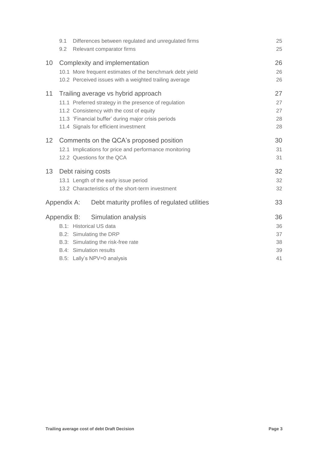|                 | Differences between regulated and unregulated firms<br>9.1<br>Relevant comparator firms<br>9.2 | 25<br>25 |
|-----------------|------------------------------------------------------------------------------------------------|----------|
| 10              | Complexity and implementation                                                                  | 26       |
|                 | 10.1 More frequent estimates of the benchmark debt yield                                       | 26       |
|                 | 10.2 Perceived issues with a weighted trailing average                                         | 26       |
| 11              | Trailing average vs hybrid approach                                                            | 27       |
|                 | 11.1 Preferred strategy in the presence of regulation                                          | 27       |
|                 | 11.2 Consistency with the cost of equity                                                       | 27       |
|                 | 11.3 'Financial buffer' during major crisis periods                                            | 28       |
|                 | 11.4 Signals for efficient investment                                                          | 28       |
| 12 <sup>2</sup> | Comments on the QCA's proposed position                                                        |          |
|                 | 12.1 Implications for price and performance monitoring                                         | 31       |
|                 | 12.2 Questions for the QCA                                                                     | 31       |
| 13              | Debt raising costs                                                                             | 32       |
|                 | 13.1 Length of the early issue period                                                          | 32       |
|                 | 13.2 Characteristics of the short-term investment                                              | 32       |
|                 | Debt maturity profiles of regulated utilities<br>Appendix A:                                   | 33       |
|                 | Simulation analysis<br>Appendix B:                                                             | 36       |
|                 | B.1: Historical US data                                                                        | 36       |
|                 | B.2: Simulating the DRP                                                                        | 37       |
|                 | B.3: Simulating the risk-free rate                                                             | 38       |
|                 | B.4: Simulation results                                                                        | 39       |
|                 | B.5: Lally's NPV=0 analysis                                                                    | 41       |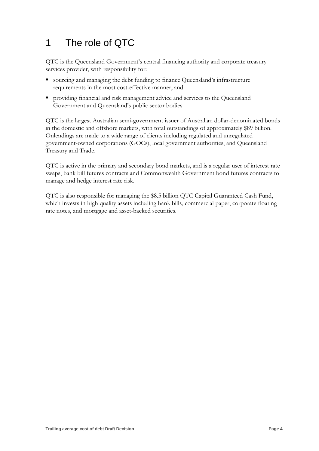## <span id="page-4-0"></span>1 The role of QTC

QTC is the Queensland Government's central financing authority and corporate treasury services provider, with responsibility for:

- sourcing and managing the debt funding to finance Queensland's infrastructure requirements in the most cost-effective manner, and
- providing financial and risk management advice and services to the Queensland Government and Queensland's public sector bodies

QTC is the largest Australian semi-government issuer of Australian dollar-denominated bonds in the domestic and offshore markets, with total outstandings of approximately \$89 billion. Onlendings are made to a wide range of clients including regulated and unregulated government-owned corporations (GOCs), local government authorities, and Queensland Treasury and Trade.

QTC is active in the primary and secondary bond markets, and is a regular user of interest rate swaps, bank bill futures contracts and Commonwealth Government bond futures contracts to manage and hedge interest rate risk.

QTC is also responsible for managing the \$8.5 billion QTC Capital Guaranteed Cash Fund, which invests in high quality assets including bank bills, commercial paper, corporate floating rate notes, and mortgage and asset-backed securities.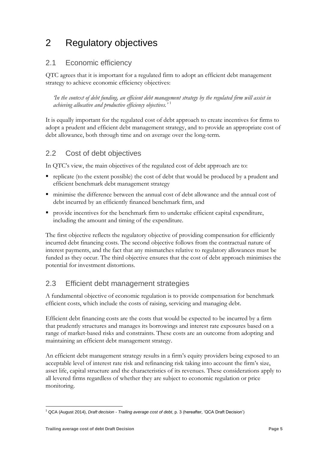## <span id="page-5-0"></span>2 Regulatory objectives

### <span id="page-5-1"></span>2.1 Economic efficiency

QTC agrees that it is important for a regulated firm to adopt an efficient debt management strategy to achieve economic efficiency objectives:

*'In the context of debt funding, an efficient debt management strategy by the regulated firm will assist in achieving allocative and productive efficiency objectives.'* <sup>1</sup>

It is equally important for the regulated cost of debt approach to create incentives for firms to adopt a prudent and efficient debt management strategy, and to provide an appropriate cost of debt allowance, both through time and on average over the long-term.

### <span id="page-5-2"></span>2.2 Cost of debt objectives

In QTC's view, the main objectives of the regulated cost of debt approach are to:

- replicate (to the extent possible) the cost of debt that would be produced by a prudent and efficient benchmark debt management strategy
- minimise the difference between the annual cost of debt allowance and the annual cost of debt incurred by an efficiently financed benchmark firm, and
- provide incentives for the benchmark firm to undertake efficient capital expenditure, including the amount and timing of the expenditure.

The first objective reflects the regulatory objective of providing compensation for efficiently incurred debt financing costs. The second objective follows from the contractual nature of interest payments, and the fact that any mismatches relative to regulatory allowances must be funded as they occur. The third objective ensures that the cost of debt approach minimises the potential for investment distortions.

### <span id="page-5-3"></span>2.3 Efficient debt management strategies

A fundamental objective of economic regulation is to provide compensation for benchmark efficient costs, which include the costs of raising, servicing and managing debt.

Efficient debt financing costs are the costs that would be expected to be incurred by a firm that prudently structures and manages its borrowings and interest rate exposures based on a range of market-based risks and constraints. These costs are an outcome from adopting and maintaining an efficient debt management strategy.

An efficient debt management strategy results in a firm's equity providers being exposed to an acceptable level of interest rate risk and refinancing risk taking into account the firm's size, asset life, capital structure and the characteristics of its revenues. These considerations apply to all levered firms regardless of whether they are subject to economic regulation or price monitoring.

<sup>-</sup><sup>1</sup> QCA (August 2014), *Draft decision - Trailing average cost of debt*, p. 3 (hereafter, 'QCA Draft Decision')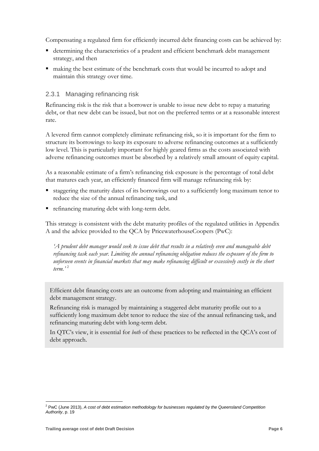Compensating a regulated firm for efficiently incurred debt financing costs can be achieved by:

- determining the characteristics of a prudent and efficient benchmark debt management strategy, and then
- making the best estimate of the benchmark costs that would be incurred to adopt and maintain this strategy over time.

#### <span id="page-6-0"></span>2.3.1 Managing refinancing risk

Refinancing risk is the risk that a borrower is unable to issue new debt to repay a maturing debt, or that new debt can be issued, but not on the preferred terms or at a reasonable interest rate.

A levered firm cannot completely eliminate refinancing risk, so it is important for the firm to structure its borrowings to keep its exposure to adverse refinancing outcomes at a sufficiently low level. This is particularly important for highly geared firms as the costs associated with adverse refinancing outcomes must be absorbed by a relatively small amount of equity capital.

As a reasonable estimate of a firm's refinancing risk exposure is the percentage of total debt that matures each year, an efficiently financed firm will manage refinancing risk by:

- staggering the maturity dates of its borrowings out to a sufficiently long maximum tenor to reduce the size of the annual refinancing task, and
- refinancing maturing debt with long-term debt.

This strategy is consistent with the debt maturity profiles of the regulated utilities in Appendix A and the advice provided to the QCA by PricewaterhouseCoopers (PwC):

*'A prudent debt manager would seek to issue debt that results in a relatively even and manageable debt refinancing task each year. Limiting the annual refinancing obligation reduces the exposure of the firm to unforseen events in financial markets that may make refinancing difficult or excessively costly in the short term.'* <sup>2</sup>

Efficient debt financing costs are an outcome from adopting and maintaining an efficient debt management strategy.

Refinancing risk is managed by maintaining a staggered debt maturity profile out to a sufficiently long maximum debt tenor to reduce the size of the annual refinancing task, and refinancing maturing debt with long-term debt.

In QTC's view, it is essential for *both* of these practices to be reflected in the QCA's cost of debt approach.

<u>.</u>

<sup>2</sup> PwC (June 2013), *A cost of debt estimation methodology for businesses regulated by the Queensland Competition Authority*, p. 19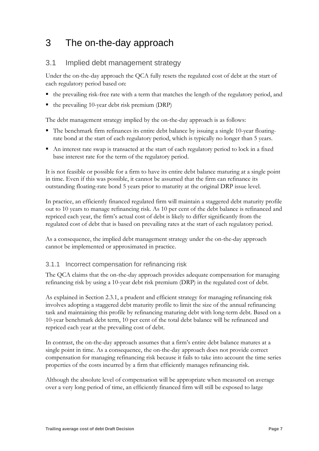## <span id="page-7-0"></span>3 The on-the-day approach

#### <span id="page-7-1"></span>3.1 Implied debt management strategy

Under the on-the-day approach the QCA fully resets the regulated cost of debt at the start of each regulatory period based on:

- the prevailing risk-free rate with a term that matches the length of the regulatory period, and
- $\blacksquare$  the prevailing 10-year debt risk premium (DRP)

The debt management strategy implied by the on-the-day approach is as follows:

- The benchmark firm refinances its entire debt balance by issuing a single 10-year floatingrate bond at the start of each regulatory period, which is typically no longer than 5 years.
- An interest rate swap is transacted at the start of each regulatory period to lock in a fixed base interest rate for the term of the regulatory period.

It is not feasible or possible for a firm to have its entire debt balance maturing at a single point in time. Even if this was possible, it cannot be assumed that the firm can refinance its outstanding floating-rate bond 5 years prior to maturity at the original DRP issue level.

In practice, an efficiently financed regulated firm will maintain a staggered debt maturity profile out to 10 years to manage refinancing risk. As 10 per cent of the debt balance is refinanced and repriced each year, the firm's actual cost of debt is likely to differ significantly from the regulated cost of debt that is based on prevailing rates at the start of each regulatory period.

As a consequence, the implied debt management strategy under the on-the-day approach cannot be implemented or approximated in practice.

#### <span id="page-7-2"></span>3.1.1 Incorrect compensation for refinancing risk

The QCA claims that the on-the-day approach provides adequate compensation for managing refinancing risk by using a 10-year debt risk premium (DRP) in the regulated cost of debt.

As explained in Section 2.3.1, a prudent and efficient strategy for managing refinancing risk involves adopting a staggered debt maturity profile to limit the size of the annual refinancing task and maintaining this profile by refinancing maturing debt with long-term debt. Based on a 10-year benchmark debt term, 10 per cent of the total debt balance will be refinanced and repriced each year at the prevailing cost of debt.

In contrast, the on-the-day approach assumes that a firm's entire debt balance matures at a single point in time. As a consequence, the on-the-day approach does not provide correct compensation for managing refinancing risk because it fails to take into account the time series properties of the costs incurred by a firm that efficiently manages refinancing risk.

Although the absolute level of compensation will be appropriate when measured on average over a very long period of time, an efficiently financed firm will still be exposed to large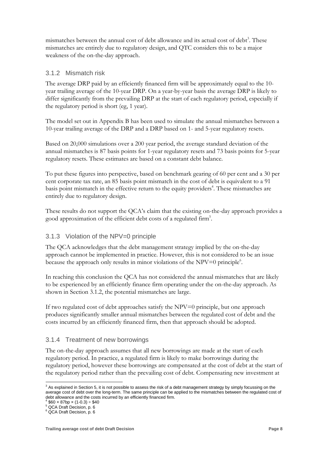mismatches between the annual cost of debt allowance and its actual cost of debt<sup>3</sup>. These mismatches are entirely due to regulatory design, and QTC considers this to be a major weakness of the on-the-day approach.

#### <span id="page-8-0"></span>3.1.2 Mismatch risk

The average DRP paid by an efficiently financed firm will be approximately equal to the 10 year trailing average of the 10-year DRP. On a year-by-year basis the average DRP is likely to differ significantly from the prevailing DRP at the start of each regulatory period, especially if the regulatory period is short (eg, 1 year).

The model set out in Appendix B has been used to simulate the annual mismatches between a 10-year trailing average of the DRP and a DRP based on 1- and 5-year regulatory resets.

Based on 20,000 simulations over a 200 year period, the average standard deviation of the annual mismatches is 87 basis points for 1-year regulatory resets and 73 basis points for 5-year regulatory resets. These estimates are based on a constant debt balance.

To put these figures into perspective, based on benchmark gearing of 60 per cent and a 30 per cent corporate tax rate, an 85 basis point mismatch in the cost of debt is equivalent to a 91 basis point mismatch in the effective return to the equity providers<sup>4</sup>. These mismatches are entirely due to regulatory design.

These results do not support the QCA's claim that the existing on-the-day approach provides a good approximation of the efficient debt costs of a regulated firm<sup>5</sup>.

#### <span id="page-8-1"></span>3.1.3 Violation of the NPV=0 principle

The QCA acknowledges that the debt management strategy implied by the on-the-day approach cannot be implemented in practice. However, this is not considered to be an issue because the approach only results in minor violations of the NPV=0 principle.

In reaching this conclusion the QCA has not considered the annual mismatches that are likely to be experienced by an efficiently finance firm operating under the on-the-day approach. As shown in Section 3.1.2, the potential mismatches are large.

If two regulated cost of debt approaches satisfy the NPV=0 principle, but one approach produces significantly smaller annual mismatches between the regulated cost of debt and the costs incurred by an efficiently financed firm, then that approach should be adopted.

#### <span id="page-8-2"></span>3.1.4 Treatment of new borrowings

The on-the-day approach assumes that all new borrowings are made at the start of each regulatory period. In practice, a regulated firm is likely to make borrowings during the regulatory period, however these borrowings are compensated at the cost of debt at the start of the regulatory period rather than the prevailing cost of debt. Compensating new investment at

<sup>-</sup> $3$  As explained in Section 5, it is not possible to assess the risk of a debt management strategy by simply focussing on the average cost of debt over the long-term. The same principle can be applied to the mismatches between the regulated cost of debt allowance and the costs incurred by an efficiently financed firm.

<sup>4</sup>  $$60 \times 87bp \times (1-0.3) \div $40$ 

<sup>5</sup> QCA Draft Decision, p. 6

<sup>6</sup> QCA Draft Decision, p. 6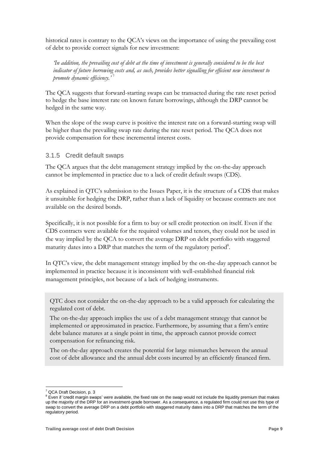historical rates is contrary to the OCA's views on the importance of using the prevailing cost of debt to provide correct signals for new investment:

*'In addition, the prevailing cost of debt at the time of investment is generally considered to be the best indicator of future borrowing costs and, as such, provides better signalling for efficient new investment to promote dynamic efficiency.'* <sup>7</sup>

The QCA suggests that forward-starting swaps can be transacted during the rate reset period to hedge the base interest rate on known future borrowings, although the DRP cannot be hedged in the same way.

When the slope of the swap curve is positive the interest rate on a forward-starting swap will be higher than the prevailing swap rate during the rate reset period. The QCA does not provide compensation for these incremental interest costs.

#### <span id="page-9-0"></span>3.1.5 Credit default swaps

The QCA argues that the debt management strategy implied by the on-the-day approach cannot be implemented in practice due to a lack of credit default swaps (CDS).

As explained in QTC's submission to the Issues Paper, it is the structure of a CDS that makes it unsuitable for hedging the DRP, rather than a lack of liquidity or because contracts are not available on the desired bonds.

Specifically, it is not possible for a firm to buy or sell credit protection on itself. Even if the CDS contracts were available for the required volumes and tenors, they could not be used in the way implied by the QCA to convert the average DRP on debt portfolio with staggered maturity dates into a DRP that matches the term of the regulatory period8.

In QTC's view, the debt management strategy implied by the on-the-day approach cannot be implemented in practice because it is inconsistent with well-established financial risk management principles, not because of a lack of hedging instruments.

QTC does not consider the on-the-day approach to be a valid approach for calculating the regulated cost of debt.

The on-the-day approach implies the use of a debt management strategy that cannot be implemented or approximated in practice. Furthermore, by assuming that a firm's entire debt balance matures at a single point in time, the approach cannot provide correct compensation for refinancing risk.

The on-the-day approach creates the potential for large mismatches between the annual cost of debt allowance and the annual debt costs incurred by an efficiently financed firm.

<sup>-</sup><sup>7</sup> QCA Draft Decision, p. 3

 $8$  Even if 'credit margin swaps' were available, the fixed rate on the swap would not include the liquidity premium that makes up the majority of the DRP for an investment-grade borrower. As a consequence, a regulated firm could not use this type of swap to convert the average DRP on a debt portfolio with staggered maturity dates into a DRP that matches the term of the regulatory period.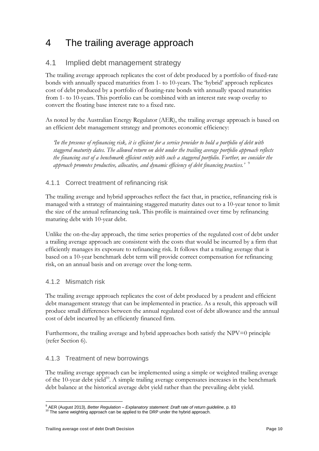## <span id="page-10-0"></span>4 The trailing average approach

### <span id="page-10-1"></span>4.1 Implied debt management strategy

The trailing average approach replicates the cost of debt produced by a portfolio of fixed-rate bonds with annually spaced maturities from 1- to 10-years. The 'hybrid' approach replicates cost of debt produced by a portfolio of floating-rate bonds with annually spaced maturities from 1- to 10-years. This portfolio can be combined with an interest rate swap overlay to convert the floating base interest rate to a fixed rate.

As noted by the Australian Energy Regulator (AER), the trailing average approach is based on an efficient debt management strategy and promotes economic efficiency:

*'In the presence of refinancing risk, it is efficient for a service provider to hold a portfolio of debt with staggered maturity dates. The allowed return on debt under the trailing average portfolio approach reflects the financing cost of a benchmark efficient entity with such a staggered portfolio. Further, we consider the approach promotes productive, allocative, and dynamic efficiency of debt financing practices.'* <sup>9</sup>

#### <span id="page-10-2"></span>4.1.1 Correct treatment of refinancing risk

The trailing average and hybrid approaches reflect the fact that, in practice, refinancing risk is managed with a strategy of maintaining staggered maturity dates out to a 10-year tenor to limit the size of the annual refinancing task. This profile is maintained over time by refinancing maturing debt with 10-year debt.

Unlike the on-the-day approach, the time series properties of the regulated cost of debt under a trailing average approach are consistent with the costs that would be incurred by a firm that efficiently manages its exposure to refinancing risk. It follows that a trailing average that is based on a 10-year benchmark debt term will provide correct compensation for refinancing risk, on an annual basis and on average over the long-term.

#### <span id="page-10-3"></span>4.1.2 Mismatch risk

The trailing average approach replicates the cost of debt produced by a prudent and efficient debt management strategy that can be implemented in practice. As a result, this approach will produce small differences between the annual regulated cost of debt allowance and the annual cost of debt incurred by an efficiently financed firm.

Furthermore, the trailing average and hybrid approaches both satisfy the NPV=0 principle (refer Section 6).

#### <span id="page-10-4"></span>4.1.3 Treatment of new borrowings

The trailing average approach can be implemented using a simple or weighted trailing average of the 10-year debt yield<sup>10</sup>. A simple trailing average compensates increases in the benchmark debt balance at the historical average debt yield rather than the prevailing debt yield.

<sup>&</sup>lt;u>.</u> <sup>9</sup> AER (August 2013), *Better Regulation – Explanatory statement: Draft rate of return guideline*, p. 83

 $10$  The same weighting approach can be applied to the DRP under the hybrid approach.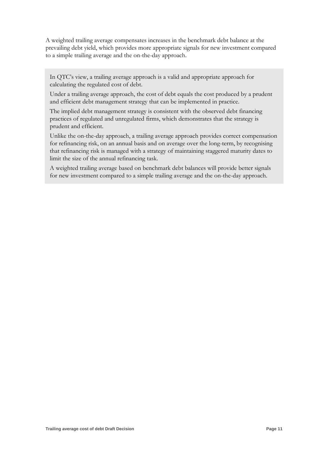A weighted trailing average compensates increases in the benchmark debt balance at the prevailing debt yield, which provides more appropriate signals for new investment compared to a simple trailing average and the on-the-day approach.

In QTC's view, a trailing average approach is a valid and appropriate approach for calculating the regulated cost of debt.

Under a trailing average approach, the cost of debt equals the cost produced by a prudent and efficient debt management strategy that can be implemented in practice.

The implied debt management strategy is consistent with the observed debt financing practices of regulated and unregulated firms, which demonstrates that the strategy is prudent and efficient.

Unlike the on-the-day approach, a trailing average approach provides correct compensation for refinancing risk, on an annual basis and on average over the long-term, by recognising that refinancing risk is managed with a strategy of maintaining staggered maturity dates to limit the size of the annual refinancing task.

A weighted trailing average based on benchmark debt balances will provide better signals for new investment compared to a simple trailing average and the on-the-day approach.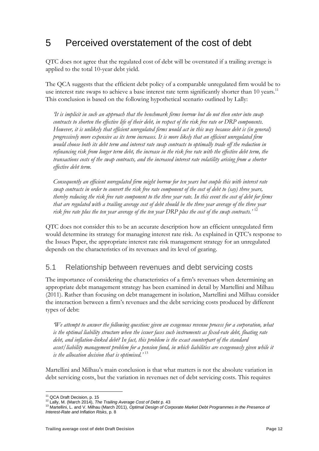## <span id="page-12-0"></span>5 Perceived overstatement of the cost of debt

QTC does not agree that the regulated cost of debt will be overstated if a trailing average is applied to the total 10-year debt yield.

The QCA suggests that the efficient debt policy of a comparable unregulated firm would be to use interest rate swaps to achieve a base interest rate term significantly shorter than 10 years.<sup>11</sup> This conclusion is based on the following hypothetical scenario outlined by Lally:

*'It is implicit in such an approach that the benchmark firms borrow but do not then enter into swap contracts to shorten the effective life of their debt, in respect of the risk free rate or DRP components. However, it is unlikely that efficient unregulated firms would act in this way because debt is (in general) progressively more expensive as its term increases. It is more likely that an efficient unregulated firm would choose both its debt term and interest rate swap contracts to optimally trade off the reduction in refinancing risk from longer term debt, the increase in the risk free rate with the effective debt term, the transactions costs of the swap contracts, and the increased interest rate volatility arising from a shorter effective debt term.* 

*Consequently an efficient unregulated firm might borrow for ten years but couple this with interest rate swap contracts in order to convert the risk free rate component of the cost of debt to (say) three years, thereby reducing the risk free rate component to the three year rate. In this event the cost of debt for firms that are regulated with a trailing average cost of debt should be the three year average of the three year risk free rate plus the ten year average of the ten year DRP plus the cost of the swap contracts.'* <sup>12</sup>

QTC does not consider this to be an accurate description how an efficient unregulated firm would determine its strategy for managing interest rate risk. As explained in QTC's response to the Issues Paper, the appropriate interest rate risk management strategy for an unregulated depends on the characteristics of its revenues and its level of gearing.

#### <span id="page-12-1"></span>5.1 Relationship between revenues and debt servicing costs

The importance of considering the characteristics of a firm's revenues when determining an appropriate debt management strategy has been examined in detail by Martellini and Milhau (2011). Rather than focusing on debt management in isolation, Martellini and Milhau consider the interaction between a firm's revenues and the debt servicing costs produced by different types of debt:

*'We attempt to answer the following question: given an exogenous revenue process for a corporation, what is the optimal liability structure when the issuer faces such instruments as fixed-rate debt, floating rate debt, and inflation-linked debt? In fact, this problem is the exact counterpart of the standard asset/liability management problem for a pension fund, in which liabilities are exogenously given while it is the allocation decision that is optimised.'* <sup>13</sup>

Martellini and Milhau's main conclusion is that what matters is not the absolute variation in debt servicing costs, but the variation in revenues net of debt servicing costs. This requires

<sup>-</sup><sup>11</sup> QCA Draft Decision, p. 15

<sup>12</sup> Lally, M. (March 2014), *The Trailing Average Cost of Debt* p. 43

<sup>13</sup> Martellini, L. and V. Milhau (March 2011), *Optimal Design of Corporate Market Debt Programmes in the Presence of Interest-Rate and Inflation Risks*, p. 8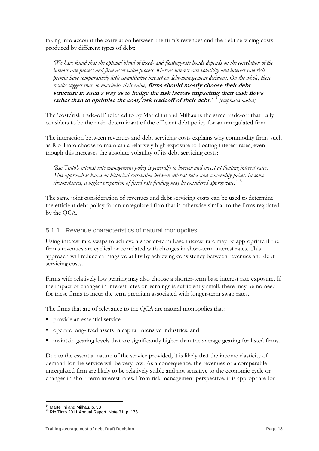taking into account the correlation between the firm's revenues and the debt servicing costs produced by different types of debt:

*'We have found that the optimal blend of fixed- and floating-rate bonds depends on the correlation of the interest-rate process and firm asset-value process, whereas interest-rate volatility and interest-rate risk premia have comparatively little quantitative impact on debt-management decisions. On the whole, these results suggest that, to maximise their value,* **firms should mostly choose their debt structure in such a way as to hedge the risk factors impacting their cash flows rather than to optimise the cost/risk tradeoff of their debt.***'* <sup>14</sup> *[emphasis added]*

The 'cost/risk trade-off' referred to by Martellini and Milhau is the same trade-off that Lally considers to be the main determinant of the efficient debt policy for an unregulated firm.

The interaction between revenues and debt servicing costs explains why commodity firms such as Rio Tinto choose to maintain a relatively high exposure to floating interest rates, even though this increases the absolute volatility of its debt servicing costs:

*'Rio Tinto's interest rate management policy is generally to borrow and invest at floating interest rates. This approach is based on historical correlation between interest rates and commodity prices. In some circumstances, a higher proportion of fixed rate funding may be considered appropriate.'* <sup>15</sup>

The same joint consideration of revenues and debt servicing costs can be used to determine the efficient debt policy for an unregulated firm that is otherwise similar to the firms regulated by the QCA.

#### <span id="page-13-0"></span>5.1.1 Revenue characteristics of natural monopolies

Using interest rate swaps to achieve a shorter-term base interest rate may be appropriate if the firm's revenues are cyclical or correlated with changes in short-term interest rates. This approach will reduce earnings volatility by achieving consistency between revenues and debt servicing costs.

Firms with relatively low gearing may also choose a shorter-term base interest rate exposure. If the impact of changes in interest rates on earnings is sufficiently small, there may be no need for these firms to incur the term premium associated with longer-term swap rates.

The firms that are of relevance to the QCA are natural monopolies that:

- **provide an essential service**
- operate long-lived assets in capital intensive industries, and
- maintain gearing levels that are significantly higher than the average gearing for listed firms.

Due to the essential nature of the service provided, it is likely that the income elasticity of demand for the service will be very low. As a consequence, the revenues of a comparable unregulated firm are likely to be relatively stable and not sensitive to the economic cycle or changes in short-term interest rates. From risk management perspective, it is appropriate for

<sup>&</sup>lt;u>.</u> <sup>14</sup> Martellini and Milhau, p. 38

<sup>15</sup> Rio Tinto 2011 Annual Report. Note 31, p. 176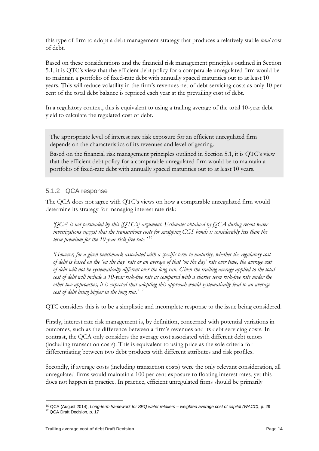this type of firm to adopt a debt management strategy that produces a relatively stable *total* cost of debt.

Based on these considerations and the financial risk management principles outlined in Section 5.1, it is QTC's view that the efficient debt policy for a comparable unregulated firm would be to maintain a portfolio of fixed-rate debt with annually spaced maturities out to at least 10 years. This will reduce volatility in the firm's revenues net of debt servicing costs as only 10 per cent of the total debt balance is repriced each year at the prevailing cost of debt.

In a regulatory context, this is equivalent to using a trailing average of the total 10-year debt yield to calculate the regulated cost of debt.

The appropriate level of interest rate risk exposure for an efficient unregulated firm depends on the characteristics of its revenues and level of gearing.

Based on the financial risk management principles outlined in Section 5.1, it is QTC's view that the efficient debt policy for a comparable unregulated firm would be to maintain a portfolio of fixed-rate debt with annually spaced maturities out to at least 10 years.

#### <span id="page-14-0"></span>5.1.2 QCA response

The QCA does not agree with QTC's views on how a comparable unregulated firm would determine its strategy for managing interest rate risk:

*'QCA is not persuaded by this [QTC's] argument. Estimates obtained by QCA during recent water investigations suggest that the transactions costs for swapping CGS bonds is considerably less than the term premium for the 10-year risk-free rate.'* <sup>16</sup>

*'However, for a given benchmark associated with a specific term to maturity, whether the regulatory cost of debt is based on the 'on the day' rate or an average of that 'on the day' rate over time, the average cost of debt will not be systematically different over the long run. Given the trailing average applied to the total cost of debt will include a 10-year risk-free rate as compared with a shorter term risk-free rate under the other two approaches, it is expected that adopting this approach would systematically lead to an average cost of debt being higher in the long run.'* <sup>17</sup>

QTC considers this is to be a simplistic and incomplete response to the issue being considered.

Firstly, interest rate risk management is, by definition, concerned with potential variations in outcomes, such as the difference between a firm's revenues and its debt servicing costs. In contrast, the QCA only considers the average cost associated with different debt tenors (including transaction costs). This is equivalent to using price as the sole criteria for differentiating between two debt products with different attributes and risk profiles.

Secondly, if average costs (including transaction costs) were the only relevant consideration, all unregulated firms would maintain a 100 per cent exposure to floating interest rates, yet this does not happen in practice. In practice, efficient unregulated firms should be primarily

<sup>-</sup>16 QCA (August 2014), *Long-term framework for SEQ water retailers – weighted average cost of capital (WACC)*, p. 29

<sup>&</sup>lt;sup>17</sup> QCA Draft Decision, p. 17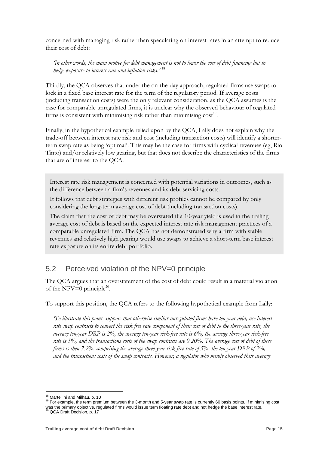concerned with managing risk rather than speculating on interest rates in an attempt to reduce their cost of debt:

*'In other words, the main motive for debt management is not to lower the cost of debt financing but to hedge exposure to interest-rate and inflation risks.'* <sup>18</sup>

Thirdly, the QCA observes that under the on-the-day approach, regulated firms use swaps to lock in a fixed base interest rate for the term of the regulatory period. If average costs (including transaction costs) were the only relevant consideration, as the QCA assumes is the case for comparable unregulated firms, it is unclear why the observed behaviour of regulated firms is consistent with minimising risk rather than minimising  $cost<sup>19</sup>$ .

Finally, in the hypothetical example relied upon by the QCA, Lally does not explain why the trade-off between interest rate risk and cost (including transaction costs) will identify a shorterterm swap rate as being 'optimal'. This may be the case for firms with cyclical revenues (eg, Rio Tinto) and/or relatively low gearing, but that does not describe the characteristics of the firms that are of interest to the QCA.

Interest rate risk management is concerned with potential variations in outcomes, such as the difference between a firm's revenues and its debt servicing costs.

It follows that debt strategies with different risk profiles cannot be compared by only considering the long-term average cost of debt (including transaction costs).

The claim that the cost of debt may be overstated if a 10-year yield is used in the trailing average cost of debt is based on the expected interest rate risk management practices of a comparable unregulated firm. The QCA has not demonstrated why a firm with stable revenues and relatively high gearing would use swaps to achieve a short-term base interest rate exposure on its entire debt portfolio.

### <span id="page-15-0"></span>5.2 Perceived violation of the NPV=0 principle

The QCA argues that an overstatement of the cost of debt could result in a material violation of the NPV=0 principle<sup>20</sup>.

To support this position, the QCA refers to the following hypothetical example from Lally:

*'To illustrate this point, suppose that otherwise similar unregulated firms have ten-year debt, use interest rate swap contracts to convert the risk free rate component of their cost of debt to the three-year rate, the average ten-year DRP is 2%, the average ten-year risk-free rate is 6%, the average three-year risk-free rate is 5%, and the transactions costs of the swap contracts are 0.20%. The average cost of debt of these firms is then 7.2%, comprising the average three-year risk-free rate of 5%, the ten-year DRP of 2%, and the transactions costs of the swap contracts. However, a regulator who merely observed their average* 

<sup>-</sup><sup>18</sup> Martellini and Milhau, p. 10

<sup>&</sup>lt;sup>19</sup> For example, the term premium between the 3-month and 5-year swap rate is currently 60 basis points. If minimising cost was the primary objective, regulated firms would issue term floating rate debt and not hedge the base interest rate.<br><sup>20</sup> QCA Draft Decision, p. 17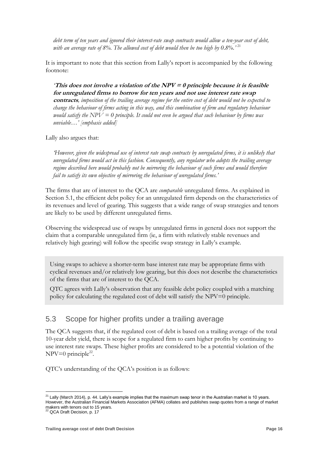*debt term of ten years and ignored their interest-rate swap contracts would allow a ten-year cost of debt, with an average rate of 8%. The allowed cost of debt would then be too high by 0.8%.'* <sup>21</sup>

It is important to note that this section from Lally's report is accompanied by the following footnote:

*'***This does not involve a violation of the**  $NPV = 0$  **principle because it is feasible for unregulated firms to borrow for ten years and not use interest rate swap contracts***, imposition of the trailing average regime for the entire cost of debt would not be expected to change the behaviour of firms acting in this way, and this combination of firm and regulatory behaviour would satisfy the NPV = 0 principle. It could not even be argued that such behaviour by firms was unviable…' [emphasis added]*

Lally also argues that:

*'However, given the widespread use of interest rate swap contracts by unregulated firms, it is unlikely that unregulated firms would act in this fashion. Consequently, any regulator who adopts the trailing average regime described here would probably not be mirroring the behaviour of such firms and would therefore fail to satisfy its own objective of mirroring the behaviour of unregulated firms.'*

The firms that are of interest to the QCA are *comparable* unregulated firms. As explained in Section 5.1, the efficient debt policy for an unregulated firm depends on the characteristics of its revenues and level of gearing. This suggests that a wide range of swap strategies and tenors are likely to be used by different unregulated firms.

Observing the widespread use of swaps by unregulated firms in general does not support the claim that a comparable unregulated firm (ie, a firm with relatively stable revenues and relatively high gearing) will follow the specific swap strategy in Lally's example.

Using swaps to achieve a shorter-term base interest rate may be appropriate firms with cyclical revenues and/or relatively low gearing, but this does not describe the characteristics of the firms that are of interest to the QCA.

QTC agrees with Lally's observation that any feasible debt policy coupled with a matching policy for calculating the regulated cost of debt will satisfy the NPV=0 principle.

### <span id="page-16-0"></span>5.3 Scope for higher profits under a trailing average

The QCA suggests that, if the regulated cost of debt is based on a trailing average of the total 10-year debt yield, there is scope for a regulated firm to earn higher profits by continuing to use interest rate swaps. These higher profits are considered to be a potential violation of the  $NPV=0$  principle<sup>22</sup>.

QTC's understanding of the QCA's position is as follows:

<sup>-</sup> $21$  Lally (March 2014), p. 44. Lally's example implies that the maximum swap tenor in the Australian market is 10 years. However, the Australian Financial Markets Association (AFMA) collates and publishes swap quotes from a range of market makers with tenors out to 15 years. <sup>22</sup> QCA Draft Decision, p. 17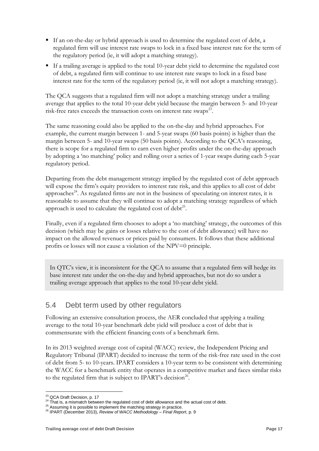- If an on-the-day or hybrid approach is used to determine the regulated cost of debt, a regulated firm will use interest rate swaps to lock in a fixed base interest rate for the term of the regulatory period (ie, it will adopt a matching strategy).
- If a trailing average is applied to the total 10-year debt yield to determine the regulated cost of debt, a regulated firm will continue to use interest rate swaps to lock in a fixed base interest rate for the term of the regulatory period (ie, it will not adopt a matching strategy).

The QCA suggests that a regulated firm will not adopt a matching strategy under a trailing average that applies to the total 10-year debt yield because the margin between 5- and 10-year risk-free rates exceeds the transaction costs on interest rate swaps<sup>23</sup>.

The same reasoning could also be applied to the on-the-day and hybrid approaches. For example, the current margin between 1- and 5-year swaps (60 basis points) is higher than the margin between 5- and 10-year swaps (50 basis points). According to the QCA's reasoning, there is scope for a regulated firm to earn even higher profits under the on-the-day approach by adopting a 'no matching' policy and rolling over a series of 1-year swaps during each 5-year regulatory period.

Departing from the debt management strategy implied by the regulated cost of debt approach will expose the firm's equity providers to interest rate risk, and this applies to all cost of debt approaches<sup>24</sup>. As regulated firms are not in the business of speculating on interest rates, it is reasonable to assume that they will continue to adopt a matching strategy regardless of which approach is used to calculate the regulated cost of  $debt^{25}$ .

Finally, even if a regulated firm chooses to adopt a 'no matching' strategy, the outcomes of this decision (which may be gains or losses relative to the cost of debt allowance) will have no impact on the allowed revenues or prices paid by consumers. It follows that these additional profits or losses will not cause a violation of the NPV=0 principle.

In QTC's view, it is inconsistent for the QCA to assume that a regulated firm will hedge its base interest rate under the on-the-day and hybrid approaches, but not do so under a trailing average approach that applies to the total 10-year debt yield.

### <span id="page-17-0"></span>5.4 Debt term used by other regulators

Following an extensive consultation process, the AER concluded that applying a trailing average to the total 10-year benchmark debt yield will produce a cost of debt that is commensurate with the efficient financing costs of a benchmark firm.

In its 2013 weighted average cost of capital (WACC) review, the Independent Pricing and Regulatory Tribunal (IPART) decided to increase the term of the risk-free rate used in the cost of debt from 5- to 10-years. IPART considers a 10-year term to be consistent with determining the WACC for a benchmark entity that operates in a competitive market and faces similar risks to the regulated firm that is subject to IPART's decision<sup>26</sup>.

<sup>-</sup><sup>23</sup> QCA Draft Decision, p. 17

<sup>&</sup>lt;sup>24</sup> That is, a mismatch between the regulated cost of debt allowance and the actual cost of debt.

<sup>&</sup>lt;sup>25</sup> Assuming it is possible to implement the matching strategy in practice.

<sup>26</sup> IPART (December 2013), *Review of WACC Methodology – Final Report*, p. 9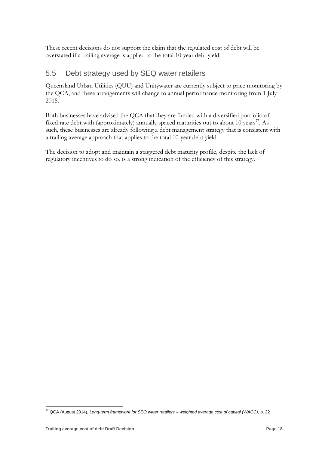These recent decisions do not support the claim that the regulated cost of debt will be overstated if a trailing average is applied to the total 10-year debt yield.

#### <span id="page-18-0"></span>5.5 Debt strategy used by SEQ water retailers

Queensland Urban Utilities (QUU) and Unitywater are currently subject to price monitoring by the QCA, and these arrangements will change to annual performance monitoring from 1 July 2015.

Both businesses have advised the QCA that they are funded with a diversified portfolio of fixed rate debt with (approximately) annually spaced maturities out to about 10 years<sup>27</sup>. As such, these businesses are already following a debt management strategy that is consistent with a trailing average approach that applies to the total 10-year debt yield.

The decision to adopt and maintain a staggered debt maturity profile, despite the lack of regulatory incentives to do so, is a strong indication of the efficiency of this strategy.

-

<sup>27</sup> QCA (August 2014), *Long-term framework for SEQ water retailers – weighted average cost of capital (WACC)*, p. 22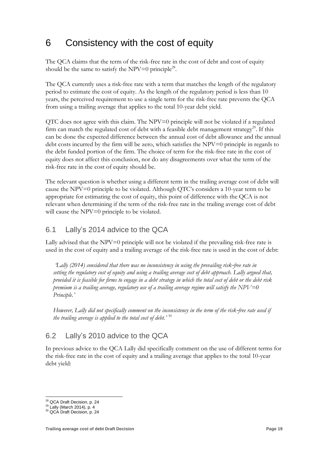## <span id="page-19-0"></span>6 Consistency with the cost of equity

The QCA claims that the term of the risk-free rate in the cost of debt and cost of equity should be the same to satisfy the NPV=0 principle<sup>28</sup>.

The QCA currently uses a risk-free rate with a term that matches the length of the regulatory period to estimate the cost of equity. As the length of the regulatory period is less than 10 years, the perceived requirement to use a single term for the risk-free rate prevents the QCA from using a trailing average that applies to the total 10-year debt yield.

QTC does not agree with this claim. The NPV=0 principle will not be violated if a regulated firm can match the regulated cost of debt with a feasible debt management strategy<sup>29</sup>. If this can be done the expected difference between the annual cost of debt allowance and the annual debt costs incurred by the firm will be zero, which satisfies the  $NPV=0$  principle in regards to the debt funded portion of the firm. The choice of term for the risk-free rate in the cost of equity does not affect this conclusion, nor do any disagreements over what the term of the risk-free rate in the cost of equity should be.

The relevant question is whether using a different term in the trailing average cost of debt will cause the NPV=0 principle to be violated. Although QTC's considers a 10-year term to be appropriate for estimating the cost of equity, this point of difference with the QCA is not relevant when determining if the term of the risk-free rate in the trailing average cost of debt will cause the NPV=0 principle to be violated.

#### <span id="page-19-1"></span>6.1 Lally's 2014 advice to the QCA

Lally advised that the NPV=0 principle will not be violated if the prevailing risk-free rate is used in the cost of equity and a trailing average of the risk-free rate is used in the cost of debt:

*'Lally (2014) considered that there was no inconsistency in using the prevailing risk*‐*free rate in setting the regulatory cost of equity and using a trailing average cost of debt approach. Lally argued that, provided it is feasible for firms to engage in a debt strategy in which the total cost of debt or the debt risk premium is a trailing average, regulatory use of a trailing average regime will satisfy the NPV=0 Principle.'* 

*However, Lally did not specifically comment on the inconsistency in the term of the risk*‐*free rate used if the trailing average is applied to the total cost of debt.'* <sup>30</sup>

### <span id="page-19-2"></span>6.2 Lally's 2010 advice to the QCA

In previous advice to the QCA Lally did specifically comment on the use of different terms for the risk-free rate in the cost of equity and a trailing average that applies to the total 10-year debt yield:

<sup>-</sup><sup>28</sup> QCA Draft Decision, p. 24

 $29$  Lally (March 2014), p. 4

<sup>30</sup> QCA Draft Decision, p. 24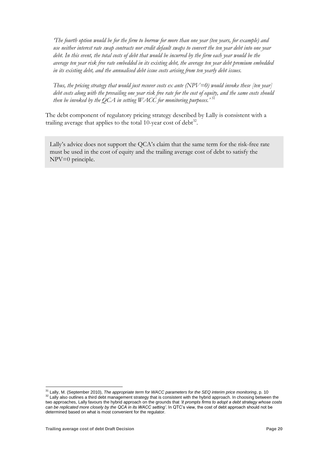*'The fourth option would be for the firm to borrow for more than one year (ten years, for example) and use neither interest rate swap contracts nor credit default swaps to convert the ten year debt into one year*  debt. In this event, the total costs of debt that would be incurred by the firm each year would be the *average ten year risk free rate embedded in its existing debt, the average ten year debt premium embedded in its existing debt, and the annualised debt issue costs arising from ten yearly debt issues.* 

*Thus, the pricing strategy that would just recover costs ex ante (NPV=0) would invoke these [ten year] debt costs along with the prevailing one year risk free rate for the cost of equity, and the same costs should then be invoked by the QCA in setting WACC for monitoring purposes.'* <sup>31</sup>

The debt component of regulatory pricing strategy described by Lally is consistent with a trailing average that applies to the total 10-year cost of  $debt^{32}$ .

Lally's advice does not support the QCA's claim that the same term for the risk-free rate must be used in the cost of equity and the trailing average cost of debt to satisfy the NPV=0 principle.

-

<sup>31</sup> Lally, M. (September 2010), *The appropriate term for WACC parameters for the SEQ interim price monitoring*, p. 10 <sup>32</sup> Lally also outlines a third debt management strategy that is consistent with the hybrid approach. In choosing between the two approaches, Lally favours the hybrid approach on the grounds that *'it prompts firms to adopt a debt strategy whose costs can be replicated more closely by the QCA in its WACC setting'*. In QTC's view, the cost of debt approach should not be determined based on what is most convenient for the regulator.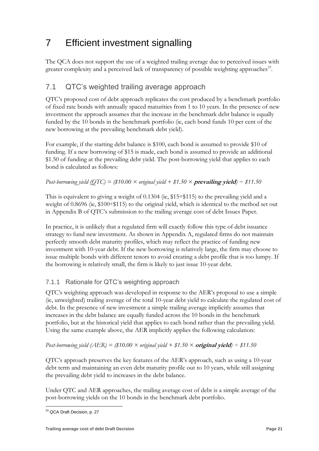## <span id="page-21-0"></span>7 Efficient investment signalling

The QCA does not support the use of a weighted trailing average due to perceived issues with greater complexity and a perceived lack of transparency of possible weighting approaches<sup>33</sup>.

### <span id="page-21-1"></span>7.1 QTC's weighted trailing average approach

QTC's proposed cost of debt approach replicates the cost produced by a benchmark portfolio of fixed rate bonds with annually spaced maturities from 1 to 10 years. In the presence of new investment the approach assumes that the increase in the benchmark debt balance is equally funded by the 10 bonds in the benchmark portfolio (ie, each bond funds 10 per cent of the new borrowing at the prevailing benchmark debt yield).

For example, if the starting debt balance is \$100, each bond is assumed to provide \$10 of funding. If a new borrowing of \$15 is made, each bond is assumed to provide an additional \$1.50 of funding at the prevailing debt yield. The post-borrowing yield that applies to each bond is calculated as follows:

#### *Post-borrowing yield*  $\overline{QTC}$  = (\$10.00  $\times$  *original yield* + \$1.50  $\times$  **prevailing yield**) – \$11.50

This is equivalent to giving a weight of  $0.1304$  (ie, \$15<sup> $\div$ </sup>\$115) to the prevailing yield and a weight of 0.8696 (ie, \$100÷\$115) to the original yield, which is identical to the method set out in Appendix B of QTC's submission to the trailing average cost of debt Issues Paper.

In practice, it is unlikely that a regulated firm will exactly follow this type of debt issuance strategy to fund new investment. As shown in Appendix A, regulated firms do not maintain perfectly smooth debt maturity profiles, which may reflect the practice of funding new investment with 10-year debt. If the new borrowing is relatively large, the firm may choose to issue multiple bonds with different tenors to avoid creating a debt profile that is too lumpy. If the borrowing is relatively small, the firm is likely to just issue 10-year debt.

#### <span id="page-21-2"></span>7.1.1 Rationale for QTC's weighting approach

QTC's weighting approach was developed in response to the AER's proposal to use a simple (ie, unweighted) trailing average of the total 10-year debt yield to calculate the regulated cost of debt. In the presence of new investment a simple trailing average implicitly assumes that increases in the debt balance are equally funded across the 10 bonds in the benchmark portfolio, but at the historical yield that applies to each bond rather than the prevailing yield. Using the same example above, the AER implicitly applies the following calculation:

#### *Post-borrowing yield*  $(AER) = (\$10.00 \times original$  yield +  $$1.50 \times original$  yield + \$1.50

QTC's approach preserves the key features of the AER's approach, such as using a 10-year debt term and maintaining an even debt maturity profile out to 10 years, while still assigning the prevailing debt yield to increases in the debt balance.

Under QTC and AER approaches, the trailing average cost of debt is a simple average of the post-borrowing yields on the 10 bonds in the benchmark debt portfolio.

<sup>-</sup><sup>33</sup> QCA Draft Decision, p. 27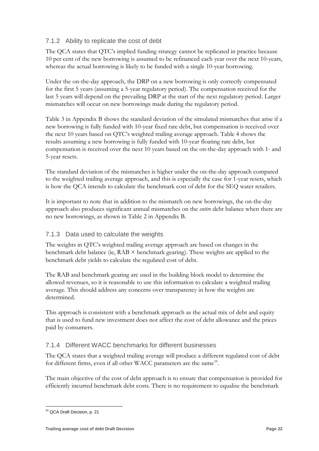#### <span id="page-22-0"></span>7.1.2 Ability to replicate the cost of debt

The QCA states that QTC's implied funding strategy cannot be replicated in practice because 10 per cent of the new borrowing is assumed to be refinanced each year over the next 10-years, whereas the actual borrowing is likely to be funded with a single 10-year borrowing.

Under the on-the-day approach, the DRP on a new borrowing is only correctly compensated for the first 5 years (assuming a 5-year regulatory period). The compensation received for the last 5 years will depend on the prevailing DRP at the start of the next regulatory period. Larger mismatches will occur on new borrowings made during the regulatory period.

Table 3 in Appendix B shows the standard deviation of the simulated mismatches that arise if a new borrowing is fully funded with 10-year fixed rate debt, but compensation is received over the next 10 years based on QTC's weighted trailing average approach. Table 4 shows the results assuming a new borrowing is fully funded with 10-year floating rate debt, but compensation is received over the next 10 years based on the on-the-day approach with 1- and 5-year resets.

The standard deviation of the mismatches is higher under the on-the-day approach compared to the weighted trailing average approach, and this is especially the case for 1-year resets, which is how the QCA intends to calculate the benchmark cost of debt for the SEQ water retailers.

It is important to note that in addition to the mismatch on new borrowings, the on-the-day approach also produces significant annual mismatches on the *entire* debt balance when there are no new borrowings, as shown in Table 2 in Appendix B.

#### <span id="page-22-1"></span>7.1.3 Data used to calculate the weights

The weights in QTC's weighted trailing average approach are based on changes in the benchmark debt balance (ie,  $RAB \times$  benchmark gearing). These weights are applied to the benchmark debt yields to calculate the regulated cost of debt.

The RAB and benchmark gearing are used in the building block model to determine the allowed revenues, so it is reasonable to use this information to calculate a weighted trailing average. This should address any concerns over transparency in how the weights are determined.

This approach is consistent with a benchmark approach as the actual mix of debt and equity that is used to fund new investment does not affect the cost of debt allowance and the prices paid by consumers.

#### <span id="page-22-2"></span>7.1.4 Different WACC benchmarks for different businesses

The QCA states that a weighted trailing average will produce a different regulated cost of debt for different firms, even if all other WACC parameters are the same<sup>34</sup>.

The main objective of the cost of debt approach is to ensure that compensation is provided for efficiently incurred benchmark debt costs. There is no requirement to equalise the benchmark

<sup>-</sup><sup>34</sup> QCA Draft Decision, p. 21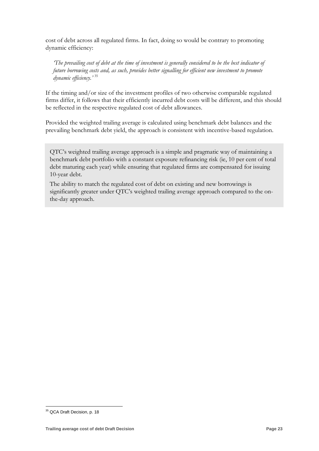cost of debt across all regulated firms. In fact, doing so would be contrary to promoting dynamic efficiency:

*'The prevailing cost of debt at the time of investment is generally considered to be the best indicator of future borrowing costs and, as such, provides better signalling for efficient new investment to promote dynamic efficiency.'* <sup>35</sup>

If the timing and/or size of the investment profiles of two otherwise comparable regulated firms differ, it follows that their efficiently incurred debt costs will be different, and this should be reflected in the respective regulated cost of debt allowances.

Provided the weighted trailing average is calculated using benchmark debt balances and the prevailing benchmark debt yield, the approach is consistent with incentive-based regulation.

The ability to match the regulated cost of debt on existing and new borrowings is significantly greater under QTC's weighted trailing average approach compared to the onthe-day approach.

QTC's weighted trailing average approach is a simple and pragmatic way of maintaining a benchmark debt portfolio with a constant exposure refinancing risk (ie, 10 per cent of total debt maturing each year) while ensuring that regulated firms are compensated for issuing 10-year debt.

<sup>-</sup><sup>35</sup> QCA Draft Decision, p. 18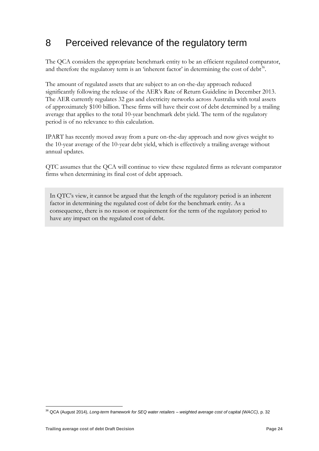## <span id="page-24-0"></span>8 Perceived relevance of the regulatory term

The QCA considers the appropriate benchmark entity to be an efficient regulated comparator, and therefore the regulatory term is an 'inherent factor' in determining the cost of  $debt<sup>36</sup>$ .

The amount of regulated assets that are subject to an on-the-day approach reduced significantly following the release of the AER's Rate of Return Guideline in December 2013. The AER currently regulates 32 gas and electricity networks across Australia with total assets of approximately \$100 billion. These firms will have their cost of debt determined by a trailing average that applies to the total 10-year benchmark debt yield. The term of the regulatory period is of no relevance to this calculation.

IPART has recently moved away from a pure on-the-day approach and now gives weight to the 10-year average of the 10-year debt yield, which is effectively a trailing average without annual updates.

QTC assumes that the QCA will continue to view these regulated firms as relevant comparator firms when determining its final cost of debt approach.

In QTC's view, it cannot be argued that the length of the regulatory period is an inherent factor in determining the regulated cost of debt for the benchmark entity. As a consequence, there is no reason or requirement for the term of the regulatory period to have any impact on the regulated cost of debt.

-

<sup>36</sup> QCA (August 2014), *Long-term framework for SEQ water retailers – weighted average cost of capital (WACC)*, p. 32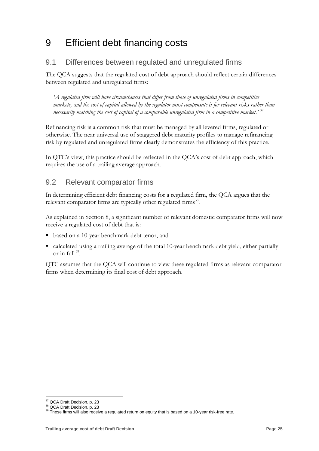## <span id="page-25-0"></span>9 Efficient debt financing costs

### <span id="page-25-1"></span>9.1 Differences between regulated and unregulated firms

The QCA suggests that the regulated cost of debt approach should reflect certain differences between regulated and unregulated firms:

*'A regulated firm will have circumstances that differ from those of unregulated firms in competitive markets, and the cost of capital allowed by the regulator must compensate it for relevant risks rather than necessarily matching the cost of capital of a comparable unregulated firm in a competitive market.'* <sup>37</sup>

Refinancing risk is a common risk that must be managed by all levered firms, regulated or otherwise. The near universal use of staggered debt maturity profiles to manage refinancing risk by regulated and unregulated firms clearly demonstrates the efficiency of this practice.

In QTC's view, this practice should be reflected in the QCA's cost of debt approach, which requires the use of a trailing average approach.

#### <span id="page-25-2"></span>9.2 Relevant comparator firms

In determining efficient debt financing costs for a regulated firm, the QCA argues that the relevant comparator firms are typically other regulated firms<sup>38</sup>.

As explained in Section 8, a significant number of relevant domestic comparator firms will now receive a regulated cost of debt that is:

- based on a 10-year benchmark debt tenor, and
- calculated using a trailing average of the total 10-year benchmark debt yield, either partially or in full  $39$ .

QTC assumes that the QCA will continue to view these regulated firms as relevant comparator firms when determining its final cost of debt approach.

<sup>-</sup><sup>37</sup> QCA Draft Decision, p. 23

<sup>&</sup>lt;sup>38</sup> QCA Draft Decision, p. 23

 $39$  These firms will also receive a regulated return on equity that is based on a 10-year risk-free rate.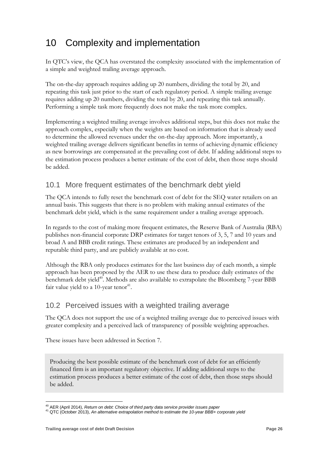## <span id="page-26-0"></span>10 Complexity and implementation

In QTC's view, the QCA has overstated the complexity associated with the implementation of a simple and weighted trailing average approach.

The on-the-day approach requires adding up 20 numbers, dividing the total by 20, and repeating this task just prior to the start of each regulatory period. A simple trailing average requires adding up 20 numbers, dividing the total by 20, and repeating this task annually. Performing a simple task more frequently does not make the task more complex.

Implementing a weighted trailing average involves additional steps, but this does not make the approach complex, especially when the weights are based on information that is already used to determine the allowed revenues under the on-the-day approach. More importantly, a weighted trailing average delivers significant benefits in terms of achieving dynamic efficiency as new borrowings are compensated at the prevailing cost of debt. If adding additional steps to the estimation process produces a better estimate of the cost of debt, then those steps should be added.

### <span id="page-26-1"></span>10.1 More frequent estimates of the benchmark debt yield

The QCA intends to fully reset the benchmark cost of debt for the SEQ water retailers on an annual basis. This suggests that there is no problem with making annual estimates of the benchmark debt yield, which is the same requirement under a trailing average approach.

In regards to the cost of making more frequent estimates, the Reserve Bank of Australia (RBA) publishes non-financial corporate DRP estimates for target tenors of 3, 5, 7 and 10 years and broad A and BBB credit ratings. These estimates are produced by an independent and reputable third party, and are publicly available at no cost.

Although the RBA only produces estimates for the last business day of each month, a simple approach has been proposed by the AER to use these data to produce daily estimates of the benchmark debt yield<sup>40</sup>. Methods are also available to extrapolate the Bloomberg 7-year BBB fair value yield to a 10-year tenor<sup>41</sup>.

### <span id="page-26-2"></span>10.2 Perceived issues with a weighted trailing average

The QCA does not support the use of a weighted trailing average due to perceived issues with greater complexity and a perceived lack of transparency of possible weighting approaches.

These issues have been addressed in Section 7.

Producing the best possible estimate of the benchmark cost of debt for an efficiently financed firm is an important regulatory objective. If adding additional steps to the estimation process produces a better estimate of the cost of debt, then those steps should be added.

<sup>&</sup>lt;u>.</u> <sup>40</sup> AER (April 2014), *Return on debt: Choice of third party data service provider issues paper*

<sup>41</sup> QTC (October 2013), *An alternative extrapolation method to estimate the 10-year BBB+ corporate yield*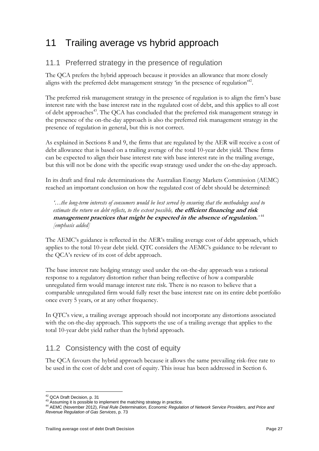## <span id="page-27-0"></span>11 Trailing average vs hybrid approach

#### <span id="page-27-1"></span>11.1 Preferred strategy in the presence of regulation

The QCA prefers the hybrid approach because it provides an allowance that more closely aligns with the preferred debt management strategy 'in the presence of regulation<sup>242</sup>.

The preferred risk management strategy in the presence of regulation is to align the firm's base interest rate with the base interest rate in the regulated cost of debt, and this applies to all cost of debt approaches<sup>43</sup>. The QCA has concluded that the preferred risk management strategy in the presence of the on-the-day approach is also the preferred risk management strategy in the presence of regulation in general, but this is not correct.

As explained in Sections 8 and 9, the firms that are regulated by the AER will receive a cost of debt allowance that is based on a trailing average of the total 10-year debt yield. These firms can be expected to align their base interest rate with base interest rate in the trailing average, but this will not be done with the specific swap strategy used under the on-the-day approach.

In its draft and final rule determinations the Australian Energy Markets Commission (AEMC) reached an important conclusion on how the regulated cost of debt should be determined:

*'…the long-term interests of consumers would be best served by ensuring that the methodology used to estimate the return on debt reflects, to the extent possible,* **the efficient financing and risk management practices that might be expected in the absence of regulation.***'* 44 *[emphasis added]*

The AEMC's guidance is reflected in the AER's trailing average cost of debt approach, which applies to the total 10-year debt yield. QTC considers the AEMC's guidance to be relevant to the QCA's review of its cost of debt approach.

The base interest rate hedging strategy used under the on-the-day approach was a rational response to a regulatory distortion rather than being reflective of how a comparable unregulated firm would manage interest rate risk. There is no reason to believe that a comparable unregulated firm would fully reset the base interest rate on its entire debt portfolio once every 5 years, or at any other frequency.

In QTC's view, a trailing average approach should not incorporate any distortions associated with the on-the-day approach. This supports the use of a trailing average that applies to the total 10-year debt yield rather than the hybrid approach.

### <span id="page-27-2"></span>11.2 Consistency with the cost of equity

The QCA favours the hybrid approach because it allows the same prevailing risk-free rate to be used in the cost of debt and cost of equity. This issue has been addressed in Section 6.

<sup>-</sup><sup>42</sup> QCA Draft Decision, p. 31

<sup>43</sup> Assuming it is possible to implement the matching strategy in practice.

<sup>44</sup> AEMC (November 2012), *Final Rule Determination, Economic Regulation of Network Service Providers, and Price and Revenue Regulation of Gas Services*, p. 73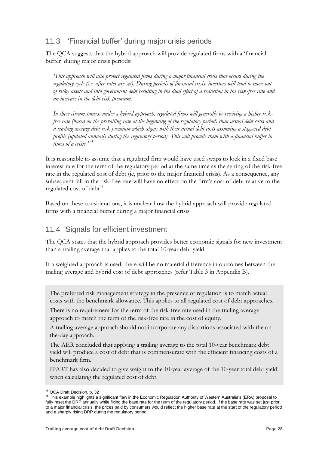### <span id="page-28-0"></span>11.3 'Financial buffer' during major crisis periods

The QCA suggests that the hybrid approach will provide regulated firms with a 'financial buffer' during major crisis periods:

*'This approach will also protect regulated firms during a major financial crisis that occurs during the regulatory cycle (i.e. after rates are set). During periods of financial crisis, investors will tend to move out of risky assets and into government debt resulting in the dual effect of a reduction in the risk-free rate and an increase in the debt risk premium.* 

*In these circumstances, under a hybrid approach, regulated firms will generally be receiving a higher riskfree rate (based on the prevailing rate at the beginning of the regulatory period) than actual debt costs and a trailing average debt risk premium which aligns with their actual debt costs assuming a staggered debt profile (updated annually during the regulatory period). This will provide them with a financial buffer in times of a crisis.'* 45

It is reasonable to assume that a regulated firm would have used swaps to lock in a fixed base interest rate for the term of the regulatory period at the same time as the setting of the risk-free rate in the regulated cost of debt (ie, prior to the major financial crisis). As a consequence, any subsequent fall in the risk-free rate will have no effect on the firm's cost of debt relative to the regulated cost of debt<sup>46</sup>.

Based on these considerations, it is unclear how the hybrid approach will provide regulated firms with a financial buffer during a major financial crisis.

#### <span id="page-28-1"></span>11.4 Signals for efficient investment

The QCA states that the hybrid approach provides better economic signals for new investment than a trailing average that applies to the total 10-year debt yield.

If a weighted approach is used, there will be no material difference in outcomes between the trailing average and hybrid cost of debt approaches (refer Table 3 in Appendix B).

The preferred risk management strategy in the presence of regulation is to match actual costs with the benchmark allowance. This applies to all regulated cost of debt approaches.

There is no requirement for the term of the risk-free rate used in the trailing average approach to match the term of the risk-free rate in the cost of equity.

A trailing average approach should not incorporate any distortions associated with the onthe-day approach.

The AER concluded that applying a trailing average to the total 10-year benchmark debt yield will produce a cost of debt that is commensurate with the efficient financing costs of a benchmark firm.

IPART has also decided to give weight to the 10-year average of the 10-year total debt yield when calculating the regulated cost of debt.

<sup>-</sup><sup>45</sup> QCA Draft Decision, p. 32

<sup>&</sup>lt;sup>46</sup> This example highlights a significant flaw in the Economic Regulation Authority of Western Australia's (ERA) proposal to fully reset the DRP annually while fixing the base rate for the term of the regulatory period. If the base rate was set just prior to a major financial crisis, the prices paid by consumers would reflect the higher base rate at the start of the regulatory period and a sharply rising DRP during the regulatory period.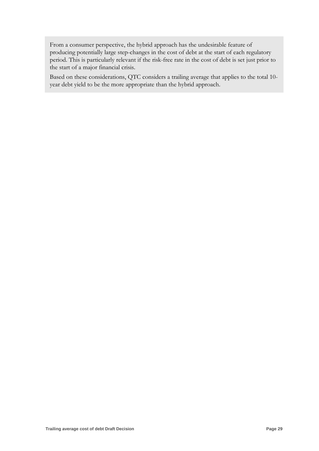From a consumer perspective, the hybrid approach has the undesirable feature of producing potentially large step-changes in the cost of debt at the start of each regulatory period. This is particularly relevant if the risk-free rate in the cost of debt is set just prior to the start of a major financial crisis.

Based on these considerations, QTC considers a trailing average that applies to the total 10 year debt yield to be the more appropriate than the hybrid approach.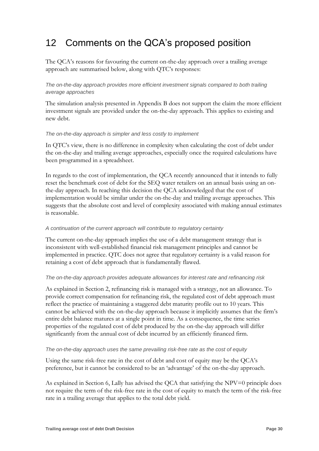## <span id="page-30-0"></span>12 Comments on the QCA's proposed position

The QCA's reasons for favouring the current on-the-day approach over a trailing average approach are summarised below, along with QTC's responses:

#### *The on-the-day approach provides more efficient investment signals compared to both trailing average approaches*

The simulation analysis presented in Appendix B does not support the claim the more efficient investment signals are provided under the on-the-day approach. This applies to existing and new debt.

#### *The on-the-day approach is simpler and less costly to implement*

In QTC's view, there is no difference in complexity when calculating the cost of debt under the on-the-day and trailing average approaches, especially once the required calculations have been programmed in a spreadsheet.

In regards to the cost of implementation, the QCA recently announced that it intends to fully reset the benchmark cost of debt for the SEQ water retailers on an annual basis using an onthe-day approach. In reaching this decision the QCA acknowledged that the cost of implementation would be similar under the on-the-day and trailing average approaches. This suggests that the absolute cost and level of complexity associated with making annual estimates is reasonable.

#### *A continuation of the current approach will contribute to regulatory certainty*

The current on-the-day approach implies the use of a debt management strategy that is inconsistent with well-established financial risk management principles and cannot be implemented in practice. QTC does not agree that regulatory certainty is a valid reason for retaining a cost of debt approach that is fundamentally flawed.

#### *The on-the-day approach provides adequate allowances for interest rate and refinancing risk*

As explained in Section 2, refinancing risk is managed with a strategy, not an allowance. To provide correct compensation for refinancing risk, the regulated cost of debt approach must reflect the practice of maintaining a staggered debt maturity profile out to 10 years. This cannot be achieved with the on-the-day approach because it implicitly assumes that the firm's entire debt balance matures at a single point in time. As a consequence, the time series properties of the regulated cost of debt produced by the on-the-day approach will differ significantly from the annual cost of debt incurred by an efficiently financed firm.

#### *The on-the-day approach uses the same prevailing risk-free rate as the cost of equity*

Using the same risk-free rate in the cost of debt and cost of equity may be the QCA's preference, but it cannot be considered to be an 'advantage' of the on-the-day approach.

As explained in Section 6, Lally has advised the QCA that satisfying the NPV=0 principle does not require the term of the risk-free rate in the cost of equity to match the term of the risk-free rate in a trailing average that applies to the total debt yield.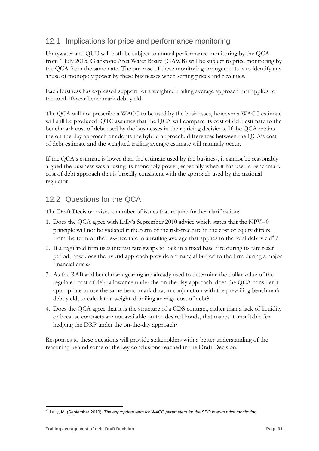### <span id="page-31-0"></span>12.1 Implications for price and performance monitoring

Unitywater and QUU will both be subject to annual performance monitoring by the QCA from 1 July 2015. Gladstone Area Water Board (GAWB) will be subject to price monitoring by the QCA from the same date. The purpose of these monitoring arrangements is to identify any abuse of monopoly power by these businesses when setting prices and revenues.

Each business has expressed support for a weighted trailing average approach that applies to the total 10-year benchmark debt yield.

The QCA will not prescribe a WACC to be used by the businesses, however a WACC estimate will still be produced. QTC assumes that the QCA will compare its cost of debt estimate to the benchmark cost of debt used by the businesses in their pricing decisions. If the QCA retains the on-the-day approach or adopts the hybrid approach, differences between the QCA's cost of debt estimate and the weighted trailing average estimate will naturally occur.

If the QCA's estimate is lower than the estimate used by the business, it cannot be reasonably argued the business was abusing its monopoly power, especially when it has used a benchmark cost of debt approach that is broadly consistent with the approach used by the national regulator.

### <span id="page-31-1"></span>12.2 Questions for the QCA

The Draft Decision raises a number of issues that require further clarification:

- 1. Does the QCA agree with Lally's September 2010 advice which states that the NPV=0 principle will not be violated if the term of the risk-free rate in the cost of equity differs from the term of the risk-free rate in a trailing average that applies to the total debt yield $47$ ?
- 2. If a regulated firm uses interest rate swaps to lock in a fixed base rate during its rate reset period, how does the hybrid approach provide a 'financial buffer' to the firm during a major financial crisis?
- 3. As the RAB and benchmark gearing are already used to determine the dollar value of the regulated cost of debt allowance under the on-the-day approach, does the QCA consider it appropriate to use the same benchmark data, in conjunction with the prevailing benchmark debt yield, to calculate a weighted trailing average cost of debt?
- 4. Does the QCA agree that it is the structure of a CDS contract, rather than a lack of liquidity or because contracts are not available on the desired bonds, that makes it unsuitable for hedging the DRP under the on-the-day approach?

Responses to these questions will provide stakeholders with a better understanding of the reasoning behind some of the key conclusions reached in the Draft Decision.

<sup>-</sup><sup>47</sup> Lally, M. (September 2010), *The appropriate term for WACC parameters for the SEQ interim price monitoring*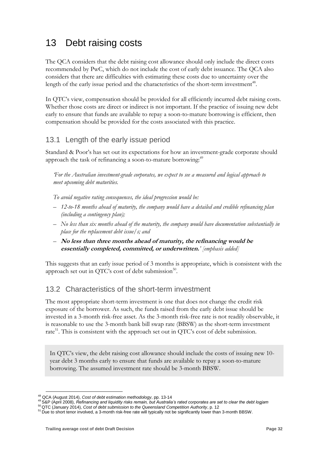## <span id="page-32-0"></span>13 Debt raising costs

The QCA considers that the debt raising cost allowance should only include the direct costs recommended by PwC, which do not include the cost of early debt issuance. The QCA also considers that there are difficulties with estimating these costs due to uncertainty over the length of the early issue period and the characteristics of the short-term investment<sup>48</sup>.

In QTC's view, compensation should be provided for all efficiently incurred debt raising costs. Whether those costs are direct or indirect is not important. If the practice of issuing new debt early to ensure that funds are available to repay a soon-to-mature borrowing is efficient, then compensation should be provided for the costs associated with this practice.

#### <span id="page-32-1"></span>13.1 Length of the early issue period

Standard & Poor's has set out its expectations for how an investment-grade corporate should approach the task of refinancing a soon-to-mature borrowing:<sup>49</sup>

*'For the Australian investment-grade corporates, we expect to see a measured and logical approach to meet upcoming debt maturities.*

*To avoid negative rating consequences, the ideal progression would be:*

- *12-to-18 months ahead of maturity, the company would have a detailed and credible refinancing plan (including a contingency plan);*
- *No less than six months ahead of the maturity, the company would have documentation substantially in place for the replacement debt issue/s; and*
- **No less than three months ahead of maturity, the refinancing would be essentially completed, committed, or underwritten.***' [emphasis added]*

This suggests that an early issue period of 3 months is appropriate, which is consistent with the approach set out in QTC's cost of debt submission<sup>50</sup>.

#### <span id="page-32-2"></span>13.2 Characteristics of the short-term investment

The most appropriate short-term investment is one that does not change the credit risk exposure of the borrower. As such, the funds raised from the early debt issue should be invested in a 3-month risk-free asset. As the 3-month risk-free rate is not readily observable, it is reasonable to use the 3-month bank bill swap rate (BBSW) as the short-term investment rate<sup>51</sup>. This is consistent with the approach set out in QTC's cost of debt submission.

In QTC's view, the debt raising cost allowance should include the costs of issuing new 10 year debt 3 months early to ensure that funds are available to repay a soon-to-mature borrowing. The assumed investment rate should be 3-month BBSW.

<sup>-</sup><sup>48</sup> QCA (August 2014), *Cost of debt estimation methodology*, pp. 13-14

<sup>49</sup> S&P (April 2008), *Refinancing and liquidity risks remain, but Australia's rated corporates are set to clear the debt logjam*

<sup>50</sup> QTC (January 2014), *Cost of debt submission to the Queensland Competition Authority*, p. 12

<sup>&</sup>lt;sup>51</sup> Due to short tenor involved, a 3-month risk-free rate will typically not be significantly lower than 3-month BBSW.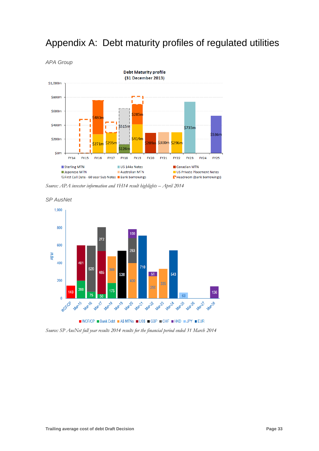

## <span id="page-33-0"></span>Appendix A: Debt maturity profiles of regulated utilities

*Source: APA investor information and 1H14 result highlights - April 2014* 



*SP AusNet*

*Source: SP AusNet full year results 2014 results for the financial period ended 31 March 2014*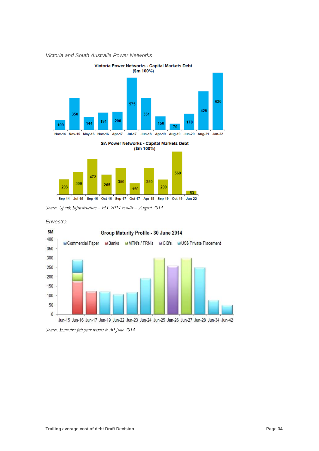*Victoria and South Australia Power Networks*



*Source: Spark Infrastructure – HY 2014 results – August 2014*



*Envestra*

*Source: Envestra full year results to 30 June 2014*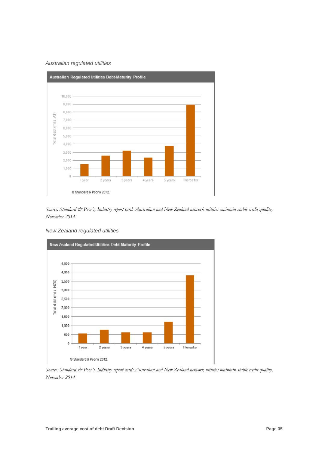#### *Australian regulated utilities*



*Source: Standard & Poor's, Industry report card: Australian and New Zealand network utilities maintain stable credit quality, November 2014*

*New Zealand regulated utilities*



*Source: Standard & Poor's, Industry report card: Australian and New Zealand network utilities maintain stable credit quality, November 2014*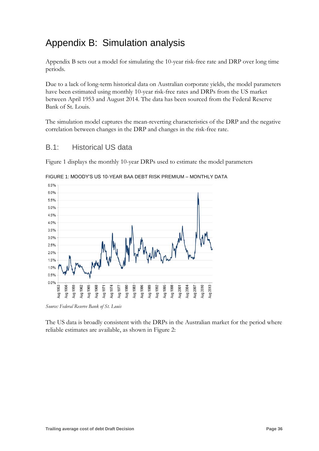## <span id="page-36-0"></span>Appendix B: Simulation analysis

Appendix B sets out a model for simulating the 10-year risk-free rate and DRP over long time periods.

Due to a lack of long-term historical data on Australian corporate yields, the model parameters have been estimated using monthly 10-year risk-free rates and DRPs from the US market between April 1953 and August 2014. The data has been sourced from the Federal Reserve Bank of St. Louis.

The simulation model captures the mean-reverting characteristics of the DRP and the negative correlation between changes in the DRP and changes in the risk-free rate.

#### <span id="page-36-1"></span>B.1: Historical US data

Figure 1 displays the monthly 10-year DRPs used to estimate the model parameters



FIGURE 1: MOODY'S US 10-YEAR BAA DEBT RISK PREMIUM – MONTHLY DATA

*Source: Federal Reserve Bank of St. Louis*

The US data is broadly consistent with the DRPs in the Australian market for the period where reliable estimates are available, as shown in Figure 2: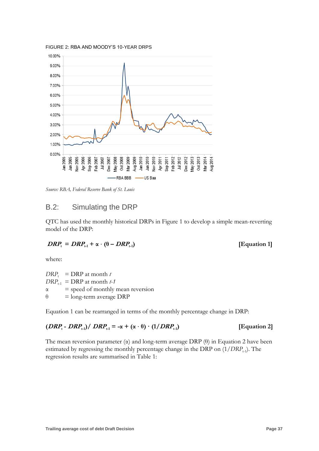

FIGURE 2: RBA AND MOODY'S 10-YEAR DRPS

<span id="page-37-0"></span>*Source: RBA, Federal Reserve Bank of St. Louis*

#### B.2: Simulating the DRP

QTC has used the monthly historical DRPs in Figure 1 to develop a simple mean-reverting model of the DRP:

$$
DRP_{t} = DRP_{t-1} + \alpha \cdot (\theta - DRP_{t-1})
$$

#### **) [Equation 1]**

where:

 $DRP_t$  = DRP at month *t*  $DRP_{t-1}$  = DRP at month *t*-1  $\alpha$  = speed of monthly mean reversion  $\theta$  = long-term average DRP

Equation 1 can be rearranged in terms of the monthly percentage change in DRP:

#### **(DRP**<sub>t</sub>**-**  $DRP_{t-1}$ **)/**  $DRP_{t-1} = -\alpha + (\alpha \cdot \theta) \cdot (1) DRP_{t-1}$ **) [Equation 2]**

The mean reversion parameter  $(\alpha)$  and long-term average DRP  $(\theta)$  in Equation 2 have been estimated by regressing the monthly percentage change in the DRP on  $(1/DRP_{t-1})$ . The regression results are summarised in Table 1: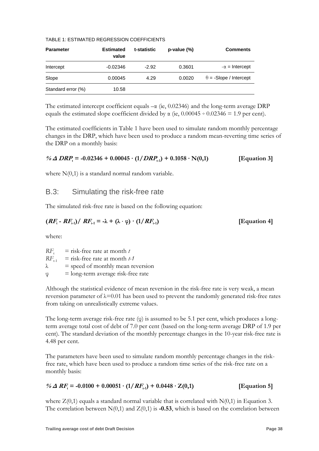#### TABLE 1: ESTIMATED REGRESSION COEFFICIENTS

| <b>Parameter</b>   | <b>Estimated</b><br>value | t-statistic | $p-value (%)$ | <b>Comments</b>               |
|--------------------|---------------------------|-------------|---------------|-------------------------------|
| Intercept          | $-0.02346$                | $-2.92$     | 0.3601        | $-\alpha$ = Intercept         |
| Slope              | 0.00045                   | 4.29        | 0.0020        | $\theta$ = -Slope / Intercept |
| Standard error (%) | 10.58                     |             |               |                               |

The estimated intercept coefficient equals  $-\alpha$  (ie, 0.02346) and the long-term average DRP equals the estimated slope coefficient divided by  $\alpha$  (ie,  $0.00045 \div 0.02346 = 1.9$  per cent).

The estimated coefficients in Table 1 have been used to simulate random monthly percentage changes in the DRP, which have been used to produce a random mean-reverting time series of the DRP on a monthly basis:

| % $\triangle$ DRP <sub>t</sub> = -0.02346 + 0.00045 · (1/DRP <sub>t-1</sub> ) + 0.1058 · N(0,1) | [Equation 3] |
|-------------------------------------------------------------------------------------------------|--------------|
|-------------------------------------------------------------------------------------------------|--------------|

<span id="page-38-0"></span>where  $N(0,1)$  is a standard normal random variable.

#### B.3: Simulating the risk-free rate

The simulated risk-free rate is based on the following equation:

$$
(RFt - RFt-1)/ RFt-1 = -\lambda + (\lambda \cdot \varphi) \cdot (1/RFt-1)
$$
 [Equation 4]

where:

 $RF_{t}$  = risk-free rate at month *t*  $RF_{t-1}$  = risk-free rate at month *t*-1  $\lambda$  = speed of monthly mean reversion  $\varphi$  = long-term average risk-free rate

Although the statistical evidence of mean reversion in the risk-free rate is very weak, a mean reversion parameter of  $\lambda$ =0.01 has been used to prevent the randomly generated risk-free rates from taking on unrealistically extreme values.

The long-term average risk-free rate (φ) is assumed to be 5.1 per cent, which produces a longterm average total cost of debt of 7.0 per cent (based on the long-term average DRP of 1.9 per cent). The standard deviation of the monthly percentage changes in the 10-year risk-free rate is 4.48 per cent.

The parameters have been used to simulate random monthly percentage changes in the riskfree rate, which have been used to produce a random time series of the risk-free rate on a monthly basis:

#### $\%$   $\Delta$   $RF_{\text{t}}$  = -0.0100 + 0.00051 · (1/ $RF_{\text{t-1}}$ ) + 0.0448 ·  $Z(0,1)$  [Equation 5]

where  $Z(0,1)$  equals a standard normal variable that is correlated with  $N(0,1)$  in Equation 3. The correlation between  $N(0,1)$  and  $Z(0,1)$  is **-0.53**, which is based on the correlation between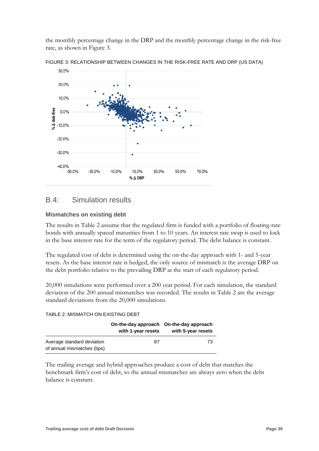the monthly percentage change in the DRP and the monthly percentage change in the risk-free rate, as shown in Figure 3.



FIGURE 3: RELATIONSHIP BETWEEN CHANGES IN THE RISK-FREE RATE AND DRP (US DATA)

#### <span id="page-39-0"></span>B.4: Simulation results

#### **Mismatches on existing debt**

The results in Table 2 assume that the regulated firm is funded with a portfolio of floating-rate bonds with annually spaced maturities from 1 to 10 years. An interest rate swap is used to lock in the base interest rate for the term of the regulatory period. The debt balance is constant.

The regulated cost of debt is determined using the on-the-day approach with 1- and 5-year resets. As the base interest rate is hedged, the only source of mismatch is the average DRP on the debt portfolio relative to the prevailing DRP at the start of each regulatory period.

20,000 simulations were performed over a 200 year period. For each simulation, the standard deviation of the 200 annual mismatches was recorded. The results in Table 2 are the average standard deviations from the 20,000 simulations.

#### TABLE 2: MISMATCH ON EXISTING DEBT

| with 1-year resets | On-the-day approach On-the-day approach<br>with 5-year resets |
|--------------------|---------------------------------------------------------------|
| 87                 | 73                                                            |
|                    |                                                               |

The trailing average and hybrid approaches produce a cost of debt that matches the benchmark firm's cost of debt, so the annual mismatches are always zero when the debt balance is constant.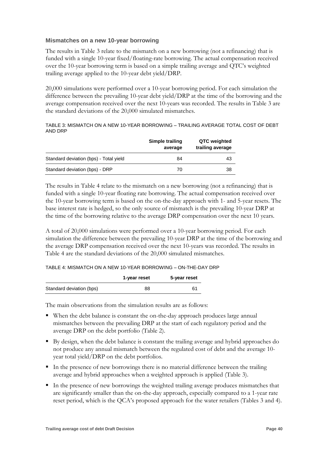#### **Mismatches on a new 10-year borrowing**

The results in Table 3 relate to the mismatch on a new borrowing (not a refinancing) that is funded with a single 10-year fixed/floating-rate borrowing. The actual compensation received over the 10-year borrowing term is based on a simple trailing average and QTC's weighted trailing average applied to the 10-year debt yield/DRP.

20,000 simulations were performed over a 10-year borrowing period. For each simulation the difference between the prevailing 10-year debt yield/DRP at the time of the borrowing and the average compensation received over the next 10-years was recorded. The results in Table 3 are the standard deviations of the 20,000 simulated mismatches.

TABLE 3: MISMATCH ON A NEW 10-YEAR BORROWING – TRAILING AVERAGE TOTAL COST OF DEBT AND DRP

|                                        | Simple trailing<br>average | QTC weighted<br>trailing average |
|----------------------------------------|----------------------------|----------------------------------|
| Standard deviation (bps) - Total yield | 84                         | 43                               |
| Standard deviation (bps) - DRP         | 70                         | 38                               |

The results in Table 4 relate to the mismatch on a new borrowing (not a refinancing) that is funded with a single 10-year floating rate borrowing. The actual compensation received over the 10-year borrowing term is based on the on-the-day approach with 1- and 5-year resets. The base interest rate is hedged, so the only source of mismatch is the prevailing 10-year DRP at the time of the borrowing relative to the average DRP compensation over the next 10 years.

A total of 20,000 simulations were performed over a 10-year borrowing period. For each simulation the difference between the prevailing 10-year DRP at the time of the borrowing and the average DRP compensation received over the next 10-years was recorded. The results in Table 4 are the standard deviations of the 20,000 simulated mismatches.

#### TABLE 4: MISMATCH ON A NEW 10-YEAR BORROWING – ON-THE-DAY DRP

|                          | 1-year reset | 5-year reset |
|--------------------------|--------------|--------------|
| Standard deviation (bps) | 88           | 61           |

The main observations from the simulation results are as follows:

- When the debt balance is constant the on-the-day approach produces large annual mismatches between the prevailing DRP at the start of each regulatory period and the average DRP on the debt portfolio (Table 2).
- By design, when the debt balance is constant the trailing average and hybrid approaches do not produce any annual mismatch between the regulated cost of debt and the average 10 year total yield/DRP on the debt portfolios.
- In the presence of new borrowings there is no material difference between the trailing average and hybrid approaches when a weighted approach is applied (Table 3).
- In the presence of new borrowings the weighted trailing average produces mismatches that are significantly smaller than the on-the-day approach, especially compared to a 1-year rate reset period, which is the QCA's proposed approach for the water retailers (Tables 3 and 4).